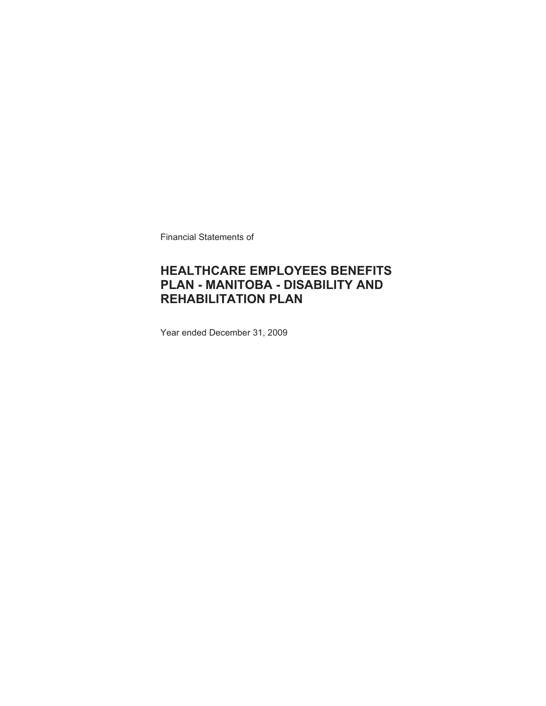Financial Statements of

# **HEALTHCARE EMPLOYEES BENEFITS PLAN - MANITOBA - DISABILITY AND REHABILITATION PLAN**

Year ended December 31, 2009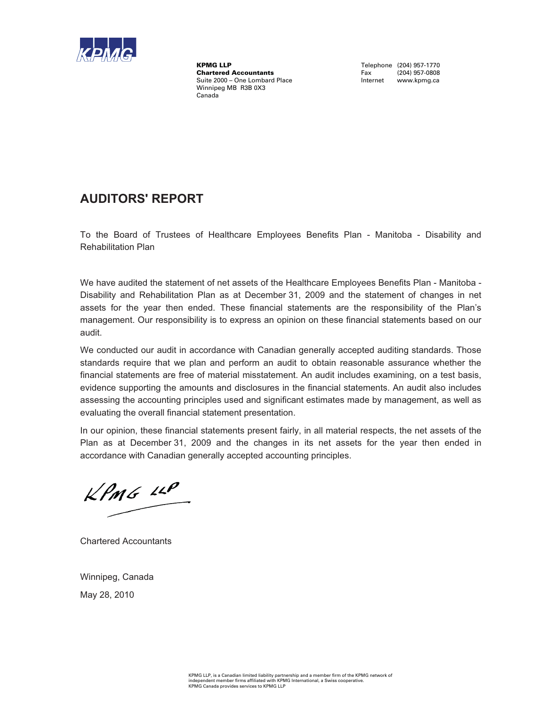

KPMG LLP<br>
Chartered Accountants<br>
Chartered Accountants<br>
Tax (204) 957-0808 **Chartered Accountants** Suite 2000 – One Lombard Place **Internet www.kpmg.ca** Winnipeg MB R3B 0X3 Canada

# **AUDITORS' REPORT**

To the Board of Trustees of Healthcare Employees Benefits Plan - Manitoba - Disability and Rehabilitation Plan

We have audited the statement of net assets of the Healthcare Employees Benefits Plan - Manitoba - Disability and Rehabilitation Plan as at December 31, 2009 and the statement of changes in net assets for the year then ended. These financial statements are the responsibility of the Plan's management. Our responsibility is to express an opinion on these financial statements based on our audit.

We conducted our audit in accordance with Canadian generally accepted auditing standards. Those standards require that we plan and perform an audit to obtain reasonable assurance whether the financial statements are free of material misstatement. An audit includes examining, on a test basis, evidence supporting the amounts and disclosures in the financial statements. An audit also includes assessing the accounting principles used and significant estimates made by management, as well as evaluating the overall financial statement presentation.

In our opinion, these financial statements present fairly, in all material respects, the net assets of the Plan as at December 31, 2009 and the changes in its net assets for the year then ended in accordance with Canadian generally accepted accounting principles.

 $KPMS$  11P

Chartered Accountants

Winnipeg, Canada May 28, 2010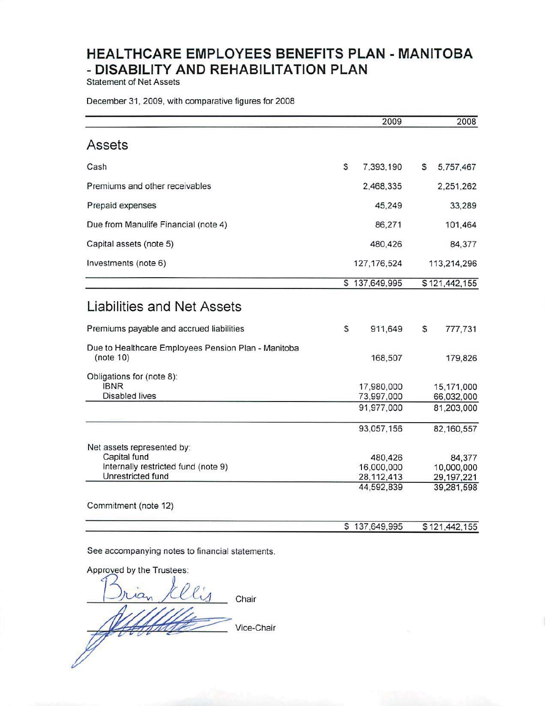**Statement of Net Assets** 

## December 31, 2009, with comparative figures for 2008

|                                                                                                                                |   | 2009                                                |    | 2008                                               |
|--------------------------------------------------------------------------------------------------------------------------------|---|-----------------------------------------------------|----|----------------------------------------------------|
| Assets                                                                                                                         |   |                                                     |    |                                                    |
| Cash                                                                                                                           | S | 7,393,190                                           | s  | 5,757,467                                          |
| Premiums and other receivables                                                                                                 |   | 2,468,335                                           |    | 2,251,262                                          |
| Prepaid expenses                                                                                                               |   | 45,249                                              |    | 33,289                                             |
| Due from Manulife Financial (note 4)                                                                                           |   | 86,271                                              |    | 101,464                                            |
| Capital assets (note 5)                                                                                                        |   | 480,426                                             |    | 84,377                                             |
| Investments (note 6)                                                                                                           |   | 127, 176, 524                                       |    | 113,214,296                                        |
|                                                                                                                                |   | \$137,649,995                                       |    | \$121,442,155                                      |
| Liabilities and Net Assets                                                                                                     |   |                                                     |    |                                                    |
| Premiums payable and accrued liabilities                                                                                       | S | 911,649                                             | \$ | 777,731                                            |
| Due to Healthcare Employees Pension Plan - Manitoba<br>(note 10)                                                               |   | 168,507                                             |    | 179,826                                            |
| Obligations for (note 8):<br><b>IBNR</b><br><b>Disabled lives</b>                                                              |   | 17,980,000<br>73,997,000                            |    | 15,171,000<br>66,032,000                           |
|                                                                                                                                |   | 91,977,000                                          |    | 81,203,000                                         |
|                                                                                                                                |   | 93,057,156                                          |    | 82,160,557                                         |
| Net assets represented by:<br>Capital fund<br>Internally restricted fund (note 9)<br>Unrestricted fund<br>Commitment (note 12) |   | 480,426<br>16,000,000<br>28, 112, 413<br>44,592,839 |    | 84,377<br>10,000,000<br>29, 197, 221<br>39,281,598 |
|                                                                                                                                |   | \$137,649,995                                       |    | \$121,442,155                                      |

See accompanying notes to financial statements.

Approved by the Trustees:  $10<sub>10</sub>$ Chair Vice-Chair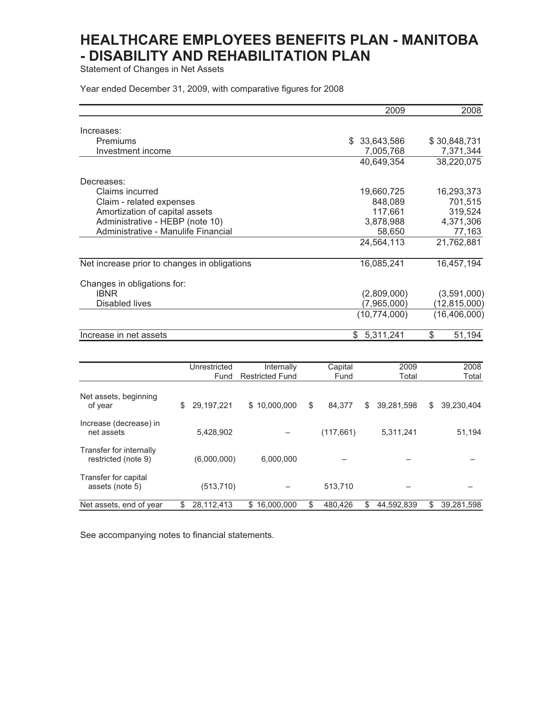Statement of Changes in Net Assets

Year ended December 31, 2009, with comparative figures for 2008

|                                                                        |                      |                                      |                 | 2009                 |                         | 2008                 |
|------------------------------------------------------------------------|----------------------|--------------------------------------|-----------------|----------------------|-------------------------|----------------------|
| Increases:                                                             |                      |                                      |                 |                      |                         |                      |
| Premiums                                                               |                      |                                      |                 | 33,643,586           |                         | \$30,848,731         |
| Investment income                                                      |                      |                                      |                 | 7,005,768            |                         | 7,371,344            |
|                                                                        |                      |                                      |                 | 40,649,354           |                         | 38,220,075           |
|                                                                        |                      |                                      |                 |                      |                         |                      |
| Decreases:                                                             |                      |                                      |                 |                      |                         |                      |
| Claims incurred                                                        |                      |                                      |                 | 19,660,725           |                         | 16,293,373           |
| Claim - related expenses                                               |                      |                                      |                 | 848,089              |                         | 701,515              |
| Amortization of capital assets                                         |                      |                                      |                 | 117,661              |                         | 319,524              |
| Administrative - HEBP (note 10)<br>Administrative - Manulife Financial |                      |                                      |                 | 3,878,988            |                         | 4,371,306            |
|                                                                        |                      |                                      |                 | 58,650<br>24,564,113 |                         | 77,163<br>21,762,881 |
|                                                                        |                      |                                      |                 |                      |                         |                      |
| Net increase prior to changes in obligations                           |                      |                                      |                 | 16,085,241           |                         | 16,457,194           |
| Changes in obligations for:                                            |                      |                                      |                 |                      |                         |                      |
| <b>IBNR</b>                                                            |                      |                                      |                 | (2,809,000)          |                         | (3,591,000)          |
| <b>Disabled lives</b>                                                  |                      |                                      |                 | (7,965,000)          |                         | (12, 815, 000)       |
|                                                                        |                      |                                      |                 | (10, 774, 000)       |                         | (16, 406, 000)       |
| Increase in net assets                                                 |                      |                                      | $\mathbb{S}$    | 5,311,241            | $\overline{\mathbb{S}}$ | 51,194               |
|                                                                        |                      |                                      |                 |                      |                         |                      |
|                                                                        |                      |                                      |                 |                      |                         |                      |
|                                                                        | Unrestricted<br>Fund | Internally<br><b>Restricted Fund</b> | Capital<br>Fund | 2009<br>Total        |                         | 2008<br>Total        |
|                                                                        |                      |                                      |                 |                      |                         |                      |
| Net assets, beginning<br>of year                                       | \$<br>29, 197, 221   | \$10,000,000                         | \$<br>84,377    | \$<br>39,281,598     | \$                      | 39,230,404           |
| Increase (decrease) in<br>net assets                                   | 5,428,902            |                                      | (117, 661)      | 5,311,241            |                         | 51,194               |
| Transfer for internally<br>restricted (note 9)                         | (6,000,000)          | 6,000,000                            |                 |                      |                         |                      |
| Transfer for capital<br>assets (note 5)                                | (513, 710)           |                                      | 513,710         |                      |                         |                      |
| Net assets, end of year                                                | \$<br>28,112,413     | \$16,000,000                         | \$<br>480,426   | \$<br>44,592,839     | \$                      | 39,281,598           |

See accompanying notes to financial statements.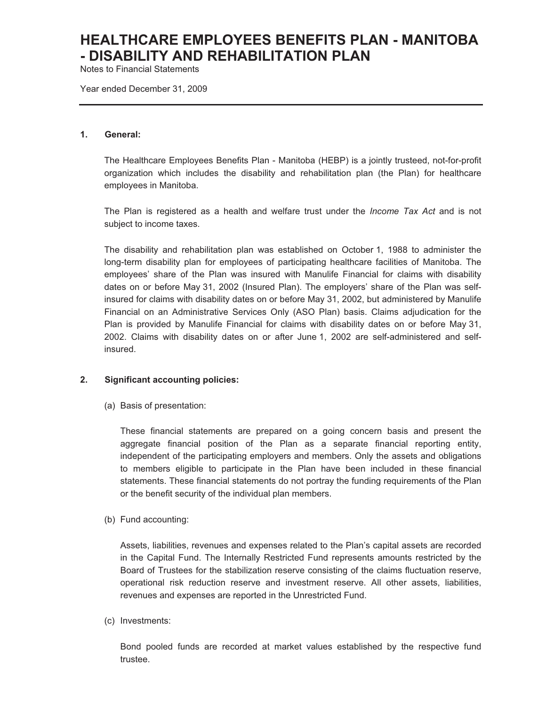Notes to Financial Statements

Year ended December 31, 2009

#### **1. General:**

The Healthcare Employees Benefits Plan - Manitoba (HEBP) is a jointly trusteed, not-for-profit organization which includes the disability and rehabilitation plan (the Plan) for healthcare employees in Manitoba.

The Plan is registered as a health and welfare trust under the *Income Tax Act* and is not subject to income taxes*.*

The disability and rehabilitation plan was established on October 1, 1988 to administer the long-term disability plan for employees of participating healthcare facilities of Manitoba. The employees' share of the Plan was insured with Manulife Financial for claims with disability dates on or before May 31, 2002 (Insured Plan). The employers' share of the Plan was selfinsured for claims with disability dates on or before May 31, 2002, but administered by Manulife Financial on an Administrative Services Only (ASO Plan) basis. Claims adjudication for the Plan is provided by Manulife Financial for claims with disability dates on or before May 31, 2002. Claims with disability dates on or after June 1, 2002 are self-administered and selfinsured.

### **2. Significant accounting policies:**

(a) Basis of presentation:

These financial statements are prepared on a going concern basis and present the aggregate financial position of the Plan as a separate financial reporting entity, independent of the participating employers and members. Only the assets and obligations to members eligible to participate in the Plan have been included in these financial statements. These financial statements do not portray the funding requirements of the Plan or the benefit security of the individual plan members.

(b) Fund accounting:

Assets, liabilities, revenues and expenses related to the Plan's capital assets are recorded in the Capital Fund. The Internally Restricted Fund represents amounts restricted by the Board of Trustees for the stabilization reserve consisting of the claims fluctuation reserve, operational risk reduction reserve and investment reserve. All other assets, liabilities, revenues and expenses are reported in the Unrestricted Fund.

(c) Investments:

Bond pooled funds are recorded at market values established by the respective fund trustee.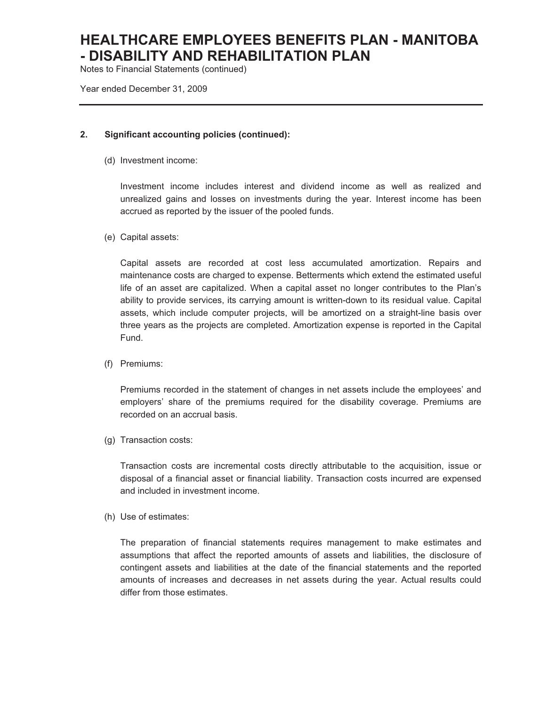Notes to Financial Statements (continued)

Year ended December 31, 2009

### **2. Significant accounting policies (continued):**

(d) Investment income:

Investment income includes interest and dividend income as well as realized and unrealized gains and losses on investments during the year. Interest income has been accrued as reported by the issuer of the pooled funds.

(e) Capital assets:

Capital assets are recorded at cost less accumulated amortization. Repairs and maintenance costs are charged to expense. Betterments which extend the estimated useful life of an asset are capitalized. When a capital asset no longer contributes to the Plan's ability to provide services, its carrying amount is written-down to its residual value. Capital assets, which include computer projects, will be amortized on a straight-line basis over three years as the projects are completed. Amortization expense is reported in the Capital Fund.

(f) Premiums:

Premiums recorded in the statement of changes in net assets include the employees' and employers' share of the premiums required for the disability coverage. Premiums are recorded on an accrual basis.

(g) Transaction costs:

Transaction costs are incremental costs directly attributable to the acquisition, issue or disposal of a financial asset or financial liability. Transaction costs incurred are expensed and included in investment income.

(h) Use of estimates:

The preparation of financial statements requires management to make estimates and assumptions that affect the reported amounts of assets and liabilities, the disclosure of contingent assets and liabilities at the date of the financial statements and the reported amounts of increases and decreases in net assets during the year. Actual results could differ from those estimates.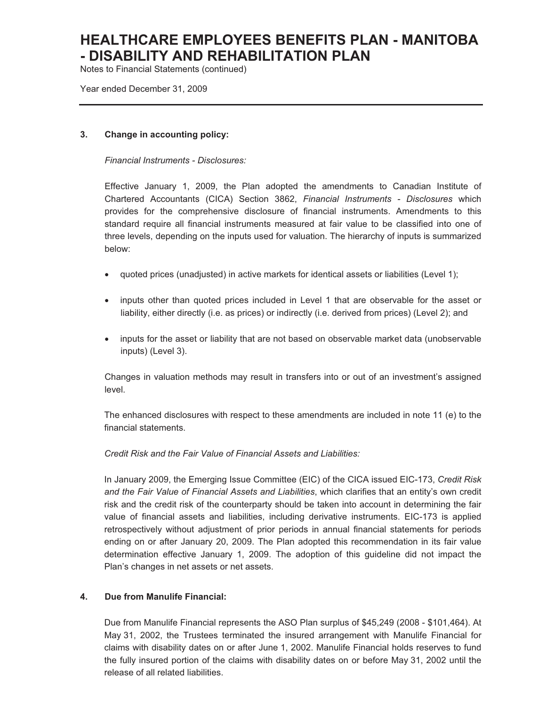Notes to Financial Statements (continued)

Year ended December 31, 2009

### **3. Change in accounting policy:**

*Financial Instruments - Disclosures:* 

Effective January 1, 2009, the Plan adopted the amendments to Canadian Institute of Chartered Accountants (CICA) Section 3862, *Financial Instruments - Disclosures* which provides for the comprehensive disclosure of financial instruments. Amendments to this standard require all financial instruments measured at fair value to be classified into one of three levels, depending on the inputs used for valuation. The hierarchy of inputs is summarized below:

- quoted prices (unadjusted) in active markets for identical assets or liabilities (Level 1);
- inputs other than quoted prices included in Level 1 that are observable for the asset or liability, either directly (i.e. as prices) or indirectly (i.e. derived from prices) (Level 2); and
- inputs for the asset or liability that are not based on observable market data (unobservable inputs) (Level 3).

Changes in valuation methods may result in transfers into or out of an investment's assigned level.

The enhanced disclosures with respect to these amendments are included in note 11 (e) to the financial statements.

*Credit Risk and the Fair Value of Financial Assets and Liabilities:* 

In January 2009, the Emerging Issue Committee (EIC) of the CICA issued EIC-173, *Credit Risk and the Fair Value of Financial Assets and Liabilities*, which clarifies that an entity's own credit risk and the credit risk of the counterparty should be taken into account in determining the fair value of financial assets and liabilities, including derivative instruments. EIC-173 is applied retrospectively without adjustment of prior periods in annual financial statements for periods ending on or after January 20, 2009. The Plan adopted this recommendation in its fair value determination effective January 1, 2009. The adoption of this guideline did not impact the Plan's changes in net assets or net assets.

### **4. Due from Manulife Financial:**

Due from Manulife Financial represents the ASO Plan surplus of \$45,249 (2008 - \$101,464). At May 31, 2002, the Trustees terminated the insured arrangement with Manulife Financial for claims with disability dates on or after June 1, 2002. Manulife Financial holds reserves to fund the fully insured portion of the claims with disability dates on or before May 31, 2002 until the release of all related liabilities.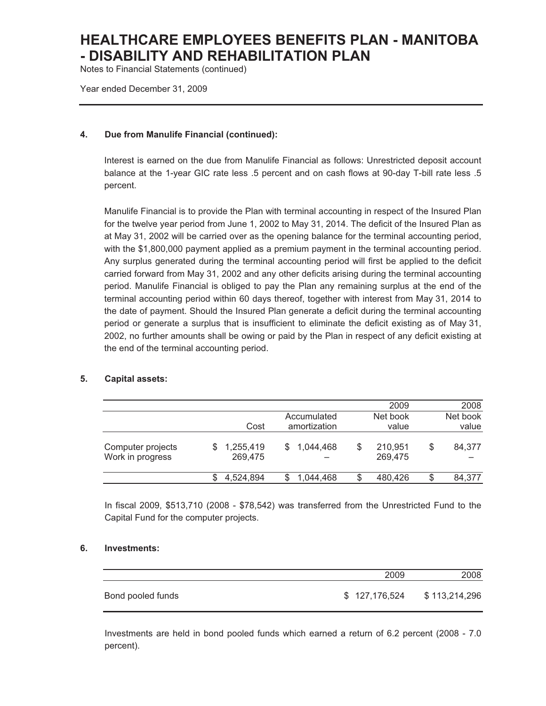Notes to Financial Statements (continued)

Year ended December 31, 2009

## **4. Due from Manulife Financial (continued):**

Interest is earned on the due from Manulife Financial as follows: Unrestricted deposit account balance at the 1-year GIC rate less .5 percent and on cash flows at 90-day T-bill rate less .5 percent.

Manulife Financial is to provide the Plan with terminal accounting in respect of the Insured Plan for the twelve year period from June 1, 2002 to May 31, 2014. The deficit of the Insured Plan as at May 31, 2002 will be carried over as the opening balance for the terminal accounting period, with the \$1,800,000 payment applied as a premium payment in the terminal accounting period. Any surplus generated during the terminal accounting period will first be applied to the deficit carried forward from May 31, 2002 and any other deficits arising during the terminal accounting period. Manulife Financial is obliged to pay the Plan any remaining surplus at the end of the terminal accounting period within 60 days thereof, together with interest from May 31, 2014 to the date of payment. Should the Insured Plan generate a deficit during the terminal accounting period or generate a surplus that is insufficient to eliminate the deficit existing as of May 31, 2002, no further amounts shall be owing or paid by the Plan in respect of any deficit existing at the end of the terminal accounting period.

### **5. Capital assets:**

|                                       |                      |                             |    | 2009               |    | 2008              |
|---------------------------------------|----------------------|-----------------------------|----|--------------------|----|-------------------|
|                                       | Cost                 | Accumulated<br>amortization |    | Net book<br>value  |    | Net book<br>value |
| Computer projects<br>Work in progress | 1,255,419<br>269,475 | 1,044,468                   | \$ | 210,951<br>269,475 | \$ | 84,377            |
|                                       | 4.524.894            | 1,044,468                   | S  | 480.426            | S  | 84,377            |

In fiscal 2009, \$513,710 (2008 - \$78,542) was transferred from the Unrestricted Fund to the Capital Fund for the computer projects.

### **6. Investments:**

|                   | 2009          | 2008          |
|-------------------|---------------|---------------|
| Bond pooled funds | \$127,176,524 | \$113,214,296 |

Investments are held in bond pooled funds which earned a return of 6.2 percent (2008 - 7.0 percent).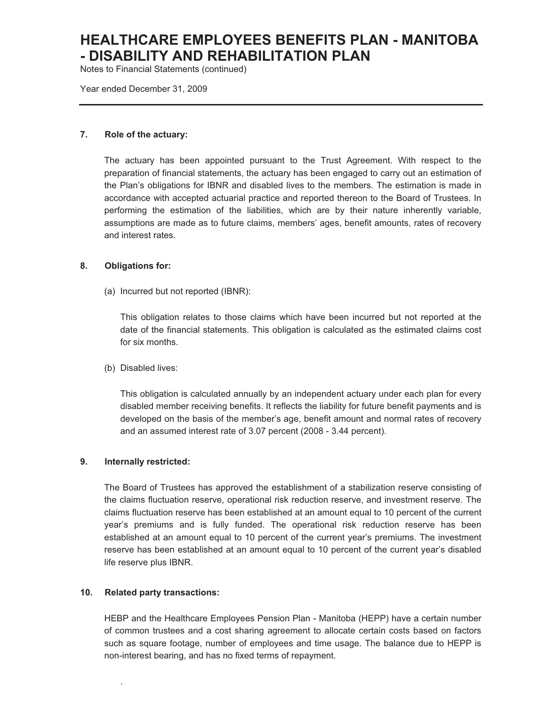Notes to Financial Statements (continued)

Year ended December 31, 2009

### **7. Role of the actuary:**

The actuary has been appointed pursuant to the Trust Agreement. With respect to the preparation of financial statements, the actuary has been engaged to carry out an estimation of the Plan's obligations for IBNR and disabled lives to the members. The estimation is made in accordance with accepted actuarial practice and reported thereon to the Board of Trustees. In performing the estimation of the liabilities, which are by their nature inherently variable, assumptions are made as to future claims, members' ages, benefit amounts, rates of recovery and interest rates.

#### **8. Obligations for:**

(a) Incurred but not reported (IBNR):

This obligation relates to those claims which have been incurred but not reported at the date of the financial statements. This obligation is calculated as the estimated claims cost for six months.

(b) Disabled lives:

This obligation is calculated annually by an independent actuary under each plan for every disabled member receiving benefits. It reflects the liability for future benefit payments and is developed on the basis of the member's age, benefit amount and normal rates of recovery and an assumed interest rate of 3.07 percent (2008 - 3.44 percent).

#### **9. Internally restricted:**

The Board of Trustees has approved the establishment of a stabilization reserve consisting of the claims fluctuation reserve, operational risk reduction reserve, and investment reserve. The claims fluctuation reserve has been established at an amount equal to 10 percent of the current year's premiums and is fully funded. The operational risk reduction reserve has been established at an amount equal to 10 percent of the current year's premiums. The investment reserve has been established at an amount equal to 10 percent of the current year's disabled life reserve plus IBNR.

#### **10. Related party transactions:**

.

HEBP and the Healthcare Employees Pension Plan - Manitoba (HEPP) have a certain number of common trustees and a cost sharing agreement to allocate certain costs based on factors such as square footage, number of employees and time usage. The balance due to HEPP is non-interest bearing, and has no fixed terms of repayment.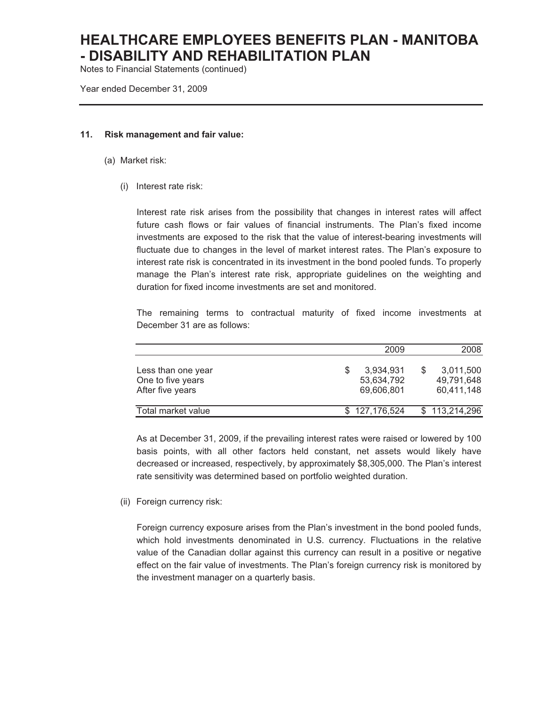Notes to Financial Statements (continued)

Year ended December 31, 2009

#### **11. Risk management and fair value:**

- (a) Market risk:
	- (i) Interest rate risk:

Interest rate risk arises from the possibility that changes in interest rates will affect future cash flows or fair values of financial instruments. The Plan's fixed income investments are exposed to the risk that the value of interest-bearing investments will fluctuate due to changes in the level of market interest rates. The Plan's exposure to interest rate risk is concentrated in its investment in the bond pooled funds. To properly manage the Plan's interest rate risk, appropriate guidelines on the weighting and duration for fixed income investments are set and monitored.

The remaining terms to contractual maturity of fixed income investments at December 31 are as follows:

|                                                             | 2009                                  | 2008                                  |
|-------------------------------------------------------------|---------------------------------------|---------------------------------------|
| Less than one year<br>One to five years<br>After five years | 3,934,931<br>53,634,792<br>69,606,801 | 3,011,500<br>49,791,648<br>60,411,148 |
| Total market value                                          | \$127,176,524                         | \$113,214,296                         |

As at December 31, 2009, if the prevailing interest rates were raised or lowered by 100 basis points, with all other factors held constant, net assets would likely have decreased or increased, respectively, by approximately \$8,305,000. The Plan's interest rate sensitivity was determined based on portfolio weighted duration.

(ii) Foreign currency risk:

Foreign currency exposure arises from the Plan's investment in the bond pooled funds, which hold investments denominated in U.S. currency. Fluctuations in the relative value of the Canadian dollar against this currency can result in a positive or negative effect on the fair value of investments. The Plan's foreign currency risk is monitored by the investment manager on a quarterly basis.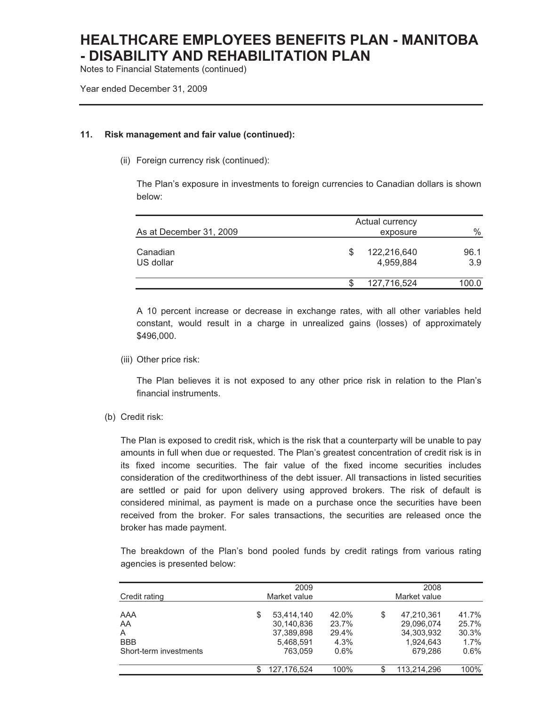Notes to Financial Statements (continued)

Year ended December 31, 2009

### **11. Risk management and fair value (continued):**

(ii) Foreign currency risk (continued):

The Plan's exposure in investments to foreign currencies to Canadian dollars is shown below:

| As at December 31, 2009 | Actual currency<br>exposure |                          |             |  |  |
|-------------------------|-----------------------------|--------------------------|-------------|--|--|
| Canadian<br>US dollar   | S                           | 122,216,640<br>4,959,884 | 96.1<br>3.9 |  |  |
|                         |                             | 127,716,524              | 100.0       |  |  |

A 10 percent increase or decrease in exchange rates, with all other variables held constant, would result in a charge in unrealized gains (losses) of approximately \$496,000.

(iii) Other price risk:

The Plan believes it is not exposed to any other price risk in relation to the Plan's financial instruments.

(b) Credit risk:

The Plan is exposed to credit risk, which is the risk that a counterparty will be unable to pay amounts in full when due or requested. The Plan's greatest concentration of credit risk is in its fixed income securities. The fair value of the fixed income securities includes consideration of the creditworthiness of the debt issuer. All transactions in listed securities are settled or paid for upon delivery using approved brokers. The risk of default is considered minimal, as payment is made on a purchase once the securities have been received from the broker. For sales transactions, the securities are released once the broker has made payment.

The breakdown of the Plan's bond pooled funds by credit ratings from various rating agencies is presented below:

|                              | 2009         |                                                     |                                 | 2008         |                                                     |                                 |
|------------------------------|--------------|-----------------------------------------------------|---------------------------------|--------------|-----------------------------------------------------|---------------------------------|
| Credit rating                | Market value |                                                     |                                 | Market value |                                                     |                                 |
| AAA<br>AA<br>A<br><b>BBB</b> | S            | 53.414.140<br>30.140.836<br>37.389.898<br>5,468,591 | 42.0%<br>23.7%<br>29.4%<br>4.3% | S            | 47,210,361<br>29.096.074<br>34.303.932<br>1.924.643 | 41.7%<br>25.7%<br>30.3%<br>1.7% |
| Short-term investments       |              | 763.059                                             | $0.6\%$                         |              | 679.286                                             | 0.6%                            |
|                              |              | 127.176.524                                         | 100%                            | S            | 113.214.296                                         | 100%                            |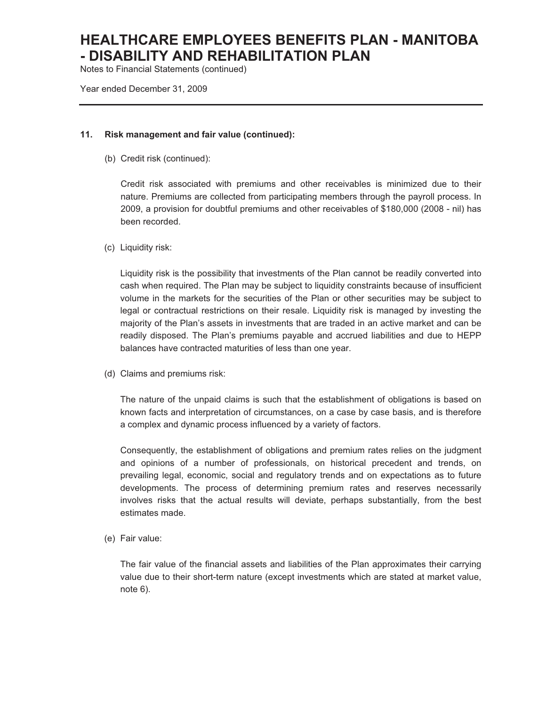Notes to Financial Statements (continued)

Year ended December 31, 2009

#### **11. Risk management and fair value (continued):**

(b) Credit risk (continued):

Credit risk associated with premiums and other receivables is minimized due to their nature. Premiums are collected from participating members through the payroll process. In 2009, a provision for doubtful premiums and other receivables of \$180,000 (2008 - nil) has been recorded.

(c) Liquidity risk:

Liquidity risk is the possibility that investments of the Plan cannot be readily converted into cash when required. The Plan may be subject to liquidity constraints because of insufficient volume in the markets for the securities of the Plan or other securities may be subject to legal or contractual restrictions on their resale. Liquidity risk is managed by investing the majority of the Plan's assets in investments that are traded in an active market and can be readily disposed. The Plan's premiums payable and accrued liabilities and due to HEPP balances have contracted maturities of less than one year.

(d) Claims and premiums risk:

The nature of the unpaid claims is such that the establishment of obligations is based on known facts and interpretation of circumstances, on a case by case basis, and is therefore a complex and dynamic process influenced by a variety of factors.

Consequently, the establishment of obligations and premium rates relies on the judgment and opinions of a number of professionals, on historical precedent and trends, on prevailing legal, economic, social and regulatory trends and on expectations as to future developments. The process of determining premium rates and reserves necessarily involves risks that the actual results will deviate, perhaps substantially, from the best estimates made.

(e) Fair value:

The fair value of the financial assets and liabilities of the Plan approximates their carrying value due to their short-term nature (except investments which are stated at market value, note 6).